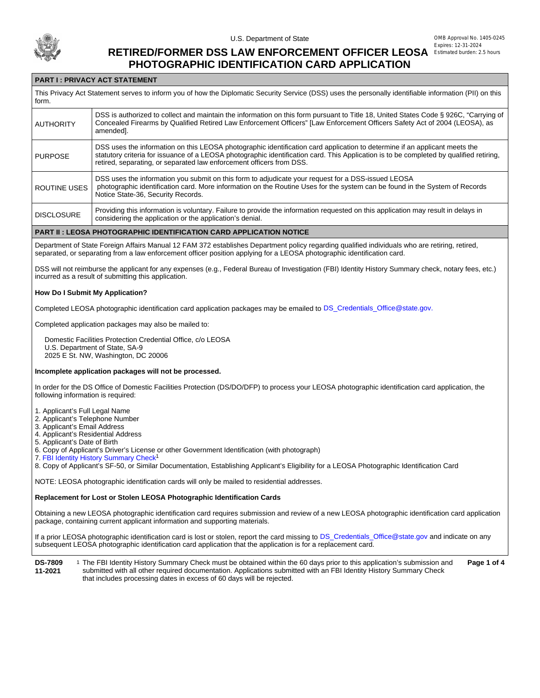

## **RETIRED/FORMER DSS LAW ENFORCEMENT OFFICER LEOSA PHOTOGRAPHIC IDENTIFICATION CARD APPLICATION**

## **PART I : PRIVACY ACT STATEMENT**

This Privacy Act Statement serves to inform you of how the Diplomatic Security Service (DSS) uses the personally identifiable information (PII) on this form. **AUTHORITY** DSS is authorized to collect and maintain the information on this form pursuant to Title 18, United States Code § 926C, "Carrying of Concealed Firearms by Qualified Retired Law Enforcement Officers" [Law Enforcement Officers Safety Act of 2004 (LEOSA), as amended]. PURPOSE DSS uses the information on this LEOSA photographic identification card application to determine if an applicant meets the statutory criteria for issuance of a LEOSA photographic identification card. This Application is to be completed by qualified retiring, retired, separating, or separated law enforcement officers from DSS. ROUTINE USES DSS uses the information you submit on this form to adjudicate your request for a DSS-issued LEOSA photographic identification card. More information on the Routine Uses for the system can be found in the System of Records Notice State-36, Security Records. **DISCLOSURE** Providing this information is voluntary. Failure to provide the information requested on this application may result in delays in considering the application or the application's denial.

#### **PART II : LEOSA PHOTOGRAPHIC IDENTIFICATION CARD APPLICATION NOTICE**

Department of State Foreign Affairs Manual 12 FAM 372 establishes Department policy regarding qualified individuals who are retiring, retired, separated, or separating from a law enforcement officer position applying for a LEOSA photographic identification card.

DSS will not reimburse the applicant for any expenses (e.g., Federal Bureau of Investigation (FBI) Identity History Summary check, notary fees, etc.) incurred as a result of submitting this application.

#### **How Do I Submit My Application?**

Completed LEOSA photographic identification card application packages may be emailed to [DS\\_Credentials\\_Office@state.gov.](mailto:DS_Credentials_Office@state.gov)

Completed application packages may also be mailed to:

 Domestic Facilities Protection Credential Office, c/o LEOSA U.S. Department of State, SA-9 2025 E St. NW, Washington, DC 20006

#### **Incomplete application packages will not be processed.**

In order for the DS Office of Domestic Facilities Protection (DS/DO/DFP) to process your LEOSA photographic identification card application, the following information is required:

1. Applicant's Full Legal Name

- 2. Applicant's Telephone Number
- 3. Applicant's Email Address

4. Applicant's Residential Address

5. Applicant's Date of Birth

6. Copy of Applicant's Driver's License or other Government Identification (with photograph)

7. [FBI Identity History Summary Check](https://www.fbi.gov/services/cjis/identity-history-summary-checks)<sup>1</sup>

8. Copy of Applicant's SF-50, or Similar Documentation, Establishing Applicant's Eligibility for a LEOSA Photographic Identification Card

NOTE: LEOSA photographic identification cards will only be mailed to residential addresses.

#### **Replacement for Lost or Stolen LEOSA Photographic Identification Cards**

Obtaining a new LEOSA photographic identification card requires submission and review of a new LEOSA photographic identification card application package, containing current applicant information and supporting materials.

If a prior LEOSA photographic identification card is lost or stolen, report the card missing to [DS\\_Credentials\\_Office@state.gov](mailto:DS_Credentials_Office@state.gov) and indicate on any subsequent LEOSA photographic identification card application that the application is for a replacement card.

**DS-7809 11-2021** The FBI Identity History Summary Check must be obtained within the 60 days prior to this application's submission and 1 **Page 1 of 4** submitted with all other required documentation. Applications submitted with an FBI Identity History Summary Check that includes processing dates in excess of 60 days will be rejected.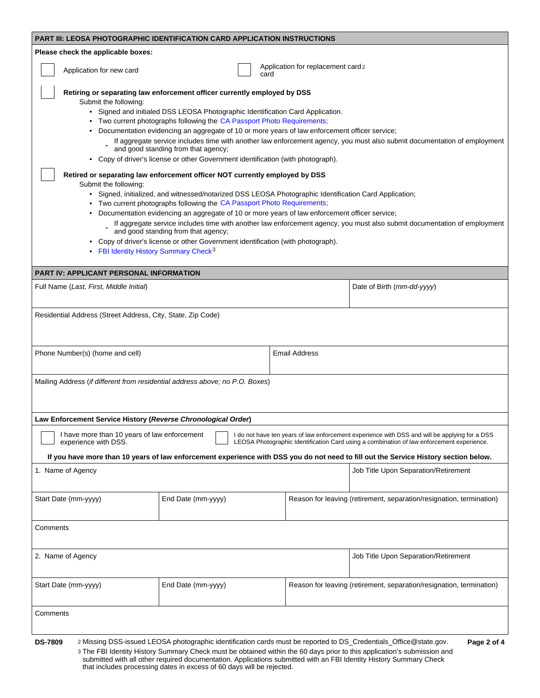| PART III: LEOSA PHOTOGRAPHIC IDENTIFICATION CARD APPLICATION INSTRUCTIONS    |                                                                                                                                                                                                                                                                                                                                                                                                                                                                                                                                                    |                                            |                                                                                                                                                                                                                                                                                                                                    |
|------------------------------------------------------------------------------|----------------------------------------------------------------------------------------------------------------------------------------------------------------------------------------------------------------------------------------------------------------------------------------------------------------------------------------------------------------------------------------------------------------------------------------------------------------------------------------------------------------------------------------------------|--------------------------------------------|------------------------------------------------------------------------------------------------------------------------------------------------------------------------------------------------------------------------------------------------------------------------------------------------------------------------------------|
| Please check the applicable boxes:                                           |                                                                                                                                                                                                                                                                                                                                                                                                                                                                                                                                                    |                                            |                                                                                                                                                                                                                                                                                                                                    |
| Application for new card                                                     |                                                                                                                                                                                                                                                                                                                                                                                                                                                                                                                                                    | Application for replacement card 2<br>card |                                                                                                                                                                                                                                                                                                                                    |
| Submit the following:                                                        | Retiring or separating law enforcement officer currently employed by DSS<br>• Signed and initialed DSS LEOSA Photographic Identification Card Application.<br>• Two current photographs following the CA Passport Photo Requirements;<br>• Documentation evidencing an aggregate of 10 or more years of law enforcement officer service;<br>and good standing from that agency;<br>• Copy of driver's license or other Government identification (with photograph).<br>Retired or separating law enforcement officer NOT currently employed by DSS |                                            | If aggregate service includes time with another law enforcement agency, you must also submit documentation of employment                                                                                                                                                                                                           |
| Submit the following:                                                        | • Signed, initialized, and witnessed/notarized DSS LEOSA Photographic Identification Card Application;<br>• Two current photographs following the CA Passport Photo Requirements;                                                                                                                                                                                                                                                                                                                                                                  |                                            |                                                                                                                                                                                                                                                                                                                                    |
|                                                                              | • Documentation evidencing an aggregate of 10 or more years of law enforcement officer service;<br>and good standing from that agency;                                                                                                                                                                                                                                                                                                                                                                                                             |                                            | If aggregate service includes time with another law enforcement agency, you must also submit documentation of employment                                                                                                                                                                                                           |
|                                                                              | • Copy of driver's license or other Government identification (with photograph).<br>• FBI Identity History Summary Check <sup>3</sup>                                                                                                                                                                                                                                                                                                                                                                                                              |                                            |                                                                                                                                                                                                                                                                                                                                    |
| <b>PART IV: APPLICANT PERSONAL INFORMATION</b>                               |                                                                                                                                                                                                                                                                                                                                                                                                                                                                                                                                                    |                                            |                                                                                                                                                                                                                                                                                                                                    |
| Full Name (Last, First, Middle Initial)                                      |                                                                                                                                                                                                                                                                                                                                                                                                                                                                                                                                                    |                                            | Date of Birth (mm-dd-yyyy)                                                                                                                                                                                                                                                                                                         |
| Residential Address (Street Address, City, State, Zip Code)                  |                                                                                                                                                                                                                                                                                                                                                                                                                                                                                                                                                    |                                            |                                                                                                                                                                                                                                                                                                                                    |
| Phone Number(s) (home and cell)                                              |                                                                                                                                                                                                                                                                                                                                                                                                                                                                                                                                                    | <b>Email Address</b>                       |                                                                                                                                                                                                                                                                                                                                    |
| Mailing Address (if different from residential address above; no P.O. Boxes) |                                                                                                                                                                                                                                                                                                                                                                                                                                                                                                                                                    |                                            |                                                                                                                                                                                                                                                                                                                                    |
| Law Enforcement Service History (Reverse Chronological Order)                |                                                                                                                                                                                                                                                                                                                                                                                                                                                                                                                                                    |                                            |                                                                                                                                                                                                                                                                                                                                    |
| I have more than 10 years of law enforcement<br>experience with DSS.         |                                                                                                                                                                                                                                                                                                                                                                                                                                                                                                                                                    |                                            | I do not have ten years of law enforcement experience with DSS and will be applying for a DSS<br>LEOSA Photographic Identification Card using a combination of law enforcement experience.<br>If you have more than 10 years of law enforcement experience with DSS you do not need to fill out the Service History section below. |
| 1. Name of Agency                                                            |                                                                                                                                                                                                                                                                                                                                                                                                                                                                                                                                                    |                                            | Job Title Upon Separation/Retirement                                                                                                                                                                                                                                                                                               |
| Start Date (mm-yyyy)                                                         | End Date (mm-yyyy)                                                                                                                                                                                                                                                                                                                                                                                                                                                                                                                                 |                                            | Reason for leaving (retirement, separation/resignation, termination)                                                                                                                                                                                                                                                               |
| Comments                                                                     |                                                                                                                                                                                                                                                                                                                                                                                                                                                                                                                                                    |                                            |                                                                                                                                                                                                                                                                                                                                    |
| 2. Name of Agency                                                            |                                                                                                                                                                                                                                                                                                                                                                                                                                                                                                                                                    |                                            | Job Title Upon Separation/Retirement                                                                                                                                                                                                                                                                                               |
| Start Date (mm-yyyy)                                                         | End Date (mm-yyyy)                                                                                                                                                                                                                                                                                                                                                                                                                                                                                                                                 |                                            | Reason for leaving (retirement, separation/resignation, termination)                                                                                                                                                                                                                                                               |
| Comments                                                                     |                                                                                                                                                                                                                                                                                                                                                                                                                                                                                                                                                    |                                            |                                                                                                                                                                                                                                                                                                                                    |
| <b>DS-7809</b>                                                               | 2 Missing DSS-issued LEOSA photographic identification cards must be reported to DS_Credentials_Office@state.gov.<br>3 The FBI Identity History Summary Check must be obtained within the 60 days prior to this application's submission and<br>submitted with all other required documentation. Applications submitted with an FBI Identity History Summary Check                                                                                                                                                                                 |                                            | Page 2 of 4                                                                                                                                                                                                                                                                                                                        |

that includes processing dates in excess of 60 days will be rejected.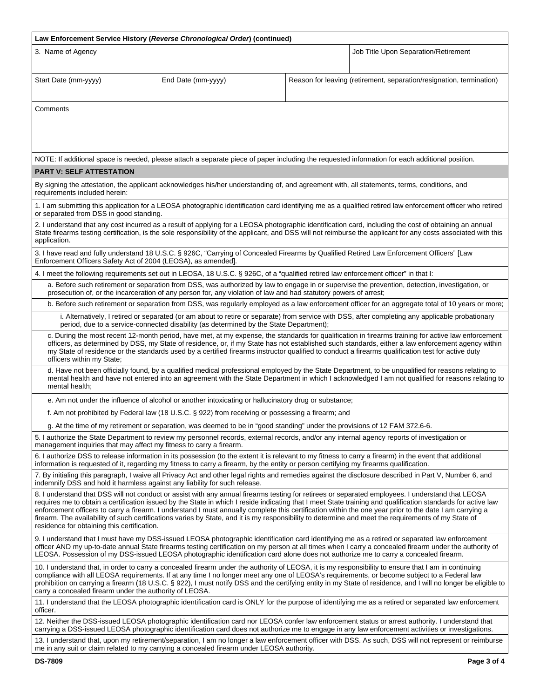| Law Enforcement Service History (Reverse Chronological Order) (continued)                                                                                                                                                                                                                                                                                                                                                                                                                                                                                                                                                                                                          |                                                                                                                                      |  |                                                                                                                                                |  |  |
|------------------------------------------------------------------------------------------------------------------------------------------------------------------------------------------------------------------------------------------------------------------------------------------------------------------------------------------------------------------------------------------------------------------------------------------------------------------------------------------------------------------------------------------------------------------------------------------------------------------------------------------------------------------------------------|--------------------------------------------------------------------------------------------------------------------------------------|--|------------------------------------------------------------------------------------------------------------------------------------------------|--|--|
| 3. Name of Agency                                                                                                                                                                                                                                                                                                                                                                                                                                                                                                                                                                                                                                                                  |                                                                                                                                      |  | Job Title Upon Separation/Retirement                                                                                                           |  |  |
| Start Date (mm-yyyy)                                                                                                                                                                                                                                                                                                                                                                                                                                                                                                                                                                                                                                                               | End Date (mm-yyyy)                                                                                                                   |  | Reason for leaving (retirement, separation/resignation, termination)                                                                           |  |  |
| Comments                                                                                                                                                                                                                                                                                                                                                                                                                                                                                                                                                                                                                                                                           |                                                                                                                                      |  |                                                                                                                                                |  |  |
|                                                                                                                                                                                                                                                                                                                                                                                                                                                                                                                                                                                                                                                                                    |                                                                                                                                      |  | NOTE: If additional space is needed, please attach a separate piece of paper including the requested information for each additional position. |  |  |
| <b>PART V: SELF ATTESTATION</b>                                                                                                                                                                                                                                                                                                                                                                                                                                                                                                                                                                                                                                                    |                                                                                                                                      |  |                                                                                                                                                |  |  |
| By signing the attestation, the applicant acknowledges his/her understanding of, and agreement with, all statements, terms, conditions, and<br>requirements included herein:                                                                                                                                                                                                                                                                                                                                                                                                                                                                                                       |                                                                                                                                      |  |                                                                                                                                                |  |  |
| 1. I am submitting this application for a LEOSA photographic identification card identifying me as a qualified retired law enforcement officer who retired<br>or separated from DSS in good standing.                                                                                                                                                                                                                                                                                                                                                                                                                                                                              |                                                                                                                                      |  |                                                                                                                                                |  |  |
| 2. I understand that any cost incurred as a result of applying for a LEOSA photographic identification card, including the cost of obtaining an annual<br>State firearms testing certification, is the sole responsibility of the applicant, and DSS will not reimburse the applicant for any costs associated with this<br>application.                                                                                                                                                                                                                                                                                                                                           |                                                                                                                                      |  |                                                                                                                                                |  |  |
| 3. I have read and fully understand 18 U.S.C. § 926C, "Carrying of Concealed Firearms by Qualified Retired Law Enforcement Officers" [Law<br>Enforcement Officers Safety Act of 2004 (LEOSA), as amended].                                                                                                                                                                                                                                                                                                                                                                                                                                                                         |                                                                                                                                      |  |                                                                                                                                                |  |  |
|                                                                                                                                                                                                                                                                                                                                                                                                                                                                                                                                                                                                                                                                                    | 4. I meet the following requirements set out in LEOSA, 18 U.S.C. § 926C, of a "qualified retired law enforcement officer" in that I: |  |                                                                                                                                                |  |  |
| a. Before such retirement or separation from DSS, was authorized by law to engage in or supervise the prevention, detection, investigation, or<br>prosecution of, or the incarceration of any person for, any violation of law and had statutory powers of arrest;                                                                                                                                                                                                                                                                                                                                                                                                                 |                                                                                                                                      |  |                                                                                                                                                |  |  |
| b. Before such retirement or separation from DSS, was regularly employed as a law enforcement officer for an aggregate total of 10 years or more;                                                                                                                                                                                                                                                                                                                                                                                                                                                                                                                                  |                                                                                                                                      |  |                                                                                                                                                |  |  |
| i. Alternatively, I retired or separated (or am about to retire or separate) from service with DSS, after completing any applicable probationary<br>period, due to a service-connected disability (as determined by the State Department);                                                                                                                                                                                                                                                                                                                                                                                                                                         |                                                                                                                                      |  |                                                                                                                                                |  |  |
| c. During the most recent 12-month period, have met, at my expense, the standards for qualification in firearms training for active law enforcement<br>officers, as determined by DSS, my State of residence, or, if my State has not established such standards, either a law enforcement agency within<br>my State of residence or the standards used by a certified firearms instructor qualified to conduct a firearms qualification test for active duty<br>officers within my State;                                                                                                                                                                                         |                                                                                                                                      |  |                                                                                                                                                |  |  |
| d. Have not been officially found, by a qualified medical professional employed by the State Department, to be unqualified for reasons relating to<br>mental health and have not entered into an agreement with the State Department in which I acknowledged I am not qualified for reasons relating to<br>mental health;                                                                                                                                                                                                                                                                                                                                                          |                                                                                                                                      |  |                                                                                                                                                |  |  |
| e. Am not under the influence of alcohol or another intoxicating or hallucinatory drug or substance;                                                                                                                                                                                                                                                                                                                                                                                                                                                                                                                                                                               |                                                                                                                                      |  |                                                                                                                                                |  |  |
| f. Am not prohibited by Federal law (18 U.S.C. § 922) from receiving or possessing a firearm; and                                                                                                                                                                                                                                                                                                                                                                                                                                                                                                                                                                                  |                                                                                                                                      |  |                                                                                                                                                |  |  |
| g. At the time of my retirement or separation, was deemed to be in "good standing" under the provisions of 12 FAM 372.6-6.                                                                                                                                                                                                                                                                                                                                                                                                                                                                                                                                                         |                                                                                                                                      |  |                                                                                                                                                |  |  |
| 5. I authorize the State Department to review my personnel records, external records, and/or any internal agency reports of investigation or<br>management inquiries that may affect my fitness to carry a firearm.                                                                                                                                                                                                                                                                                                                                                                                                                                                                |                                                                                                                                      |  |                                                                                                                                                |  |  |
| 6. I authorize DSS to release information in its possession (to the extent it is relevant to my fitness to carry a firearm) in the event that additional<br>information is requested of it, regarding my fitness to carry a firearm, by the entity or person certifying my firearms qualification.                                                                                                                                                                                                                                                                                                                                                                                 |                                                                                                                                      |  |                                                                                                                                                |  |  |
| 7. By initialing this paragraph, I waive all Privacy Act and other legal rights and remedies against the disclosure described in Part V, Number 6, and<br>indemnify DSS and hold it harmless against any liability for such release.                                                                                                                                                                                                                                                                                                                                                                                                                                               |                                                                                                                                      |  |                                                                                                                                                |  |  |
| 8. I understand that DSS will not conduct or assist with any annual firearms testing for retirees or separated employees. I understand that LEOSA<br>requires me to obtain a certification issued by the State in which I reside indicating that I meet State training and qualification standards for active law<br>enforcement officers to carry a firearm. I understand I must annually complete this certification within the one year prior to the date I am carrying a<br>firearm. The availability of such certifications varies by State, and it is my responsibility to determine and meet the requirements of my State of<br>residence for obtaining this certification. |                                                                                                                                      |  |                                                                                                                                                |  |  |
| 9. I understand that I must have my DSS-issued LEOSA photographic identification card identifying me as a retired or separated law enforcement<br>officer AND my up-to-date annual State firearms testing certification on my person at all times when I carry a concealed firearm under the authority of<br>LEOSA. Possession of my DSS-issued LEOSA photographic identification card alone does not authorize me to carry a concealed firearm.                                                                                                                                                                                                                                   |                                                                                                                                      |  |                                                                                                                                                |  |  |
| 10. I understand that, in order to carry a concealed firearm under the authority of LEOSA, it is my responsibility to ensure that I am in continuing<br>compliance with all LEOSA requirements. If at any time I no longer meet any one of LEOSA's requirements, or become subject to a Federal law<br>prohibition on carrying a firearm (18 U.S.C. § 922), I must notify DSS and the certifying entity in my State of residence, and I will no longer be eligible to<br>carry a concealed firearm under the authority of LEOSA.                                                                                                                                                   |                                                                                                                                      |  |                                                                                                                                                |  |  |
| 11. I understand that the LEOSA photographic identification card is ONLY for the purpose of identifying me as a retired or separated law enforcement<br>officer.                                                                                                                                                                                                                                                                                                                                                                                                                                                                                                                   |                                                                                                                                      |  |                                                                                                                                                |  |  |
| 12. Neither the DSS-issued LEOSA photographic identification card nor LEOSA confer law enforcement status or arrest authority. I understand that<br>carrying a DSS-issued LEOSA photographic identification card does not authorize me to engage in any law enforcement activities or investigations.                                                                                                                                                                                                                                                                                                                                                                              |                                                                                                                                      |  |                                                                                                                                                |  |  |
| 13. I understand that, upon my retirement/separation, I am no longer a law enforcement officer with DSS. As such, DSS will not represent or reimburse<br>me in any suit or claim related to my carrying a concealed firearm under LEOSA authority.                                                                                                                                                                                                                                                                                                                                                                                                                                 |                                                                                                                                      |  |                                                                                                                                                |  |  |